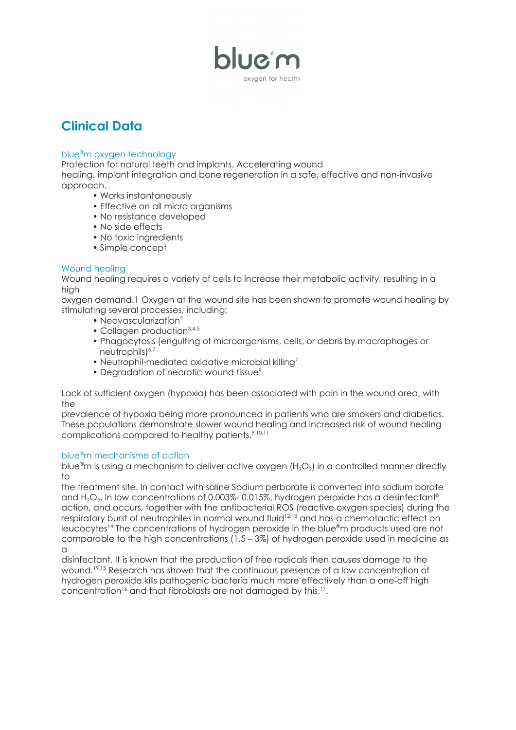

# **Clinical Data**

## blue ®m oxygen technology

Protection for natural teeth and implants. Accelerating wound healing, implant integration and bone regeneration in a safe, effective and non-invasive approach.

- Works instantaneously
- Effective on all micro organisms
- No resistance developed
- No side effects
- No toxic ingredients
- Simple concept

## Wound healing

Wound healing requires a variety of cells to increase their metabolic activity, resulting in a high

oxygen demand.1 Oxygen at the wound site has been shown to promote wound healing by stimulating several processes, including;

- Neovascularization<sup>2</sup>
- Collagen production<sup>3,4,5</sup>
- Phagocytosis (engulfing of microorganisms, cells, or debris by macrophages or neutrophils)<sup>6,7</sup>
- Neutrophil-mediated oxidative microbial killing<sup>7</sup>
- Degradation of necrotic wound tissue<sup>8</sup>

Lack of sufficient oxygen (hypoxia) has been associated with pain in the wound area, with the

prevalence of hypoxia being more pronounced in patients who are smokers and diabetics. These populations demonstrate slower wound healing and increased risk of wound healing complications compared to healthy patients. 9,10,11

## blue ®m mechanisme of action

blue®m is using a mechanism to deliver active oxygen (H $_{2} \rm O_{2}$ ) in a controlled manner directly to

the treatment site. In contact with saline Sodium perborate is converted into sodium borate and H $_{2}$ O $_{2}$ . In low concentrations of 0.003%- 0.015%, hydrogen peroxide has a desinfectant $^{\rm 8}$ action, and occurs, together with the antibacterial ROS (reactive oxygen species) during the respiratory burst of neutrophiles in normal wound fluid 12,13 and has a chemotactic effect on leucocytes <sup>14</sup> The concentrations of hydrogen peroxide in the blue ®m products used are not comparable to the high concentrations (1.5 – 3%) of hydrogen peroxide used in medicine as a

disinfectant. It is known that the production of free radicals then causes damage to the wound. 19,15 Research has shown that the continuous presence of a low concentration of hydrogen peroxide kills pathogenic bacteria much more effectively than a one-off high concentration<sup>16</sup> and that fibroblasts are not damaged by this.<sup>17</sup>.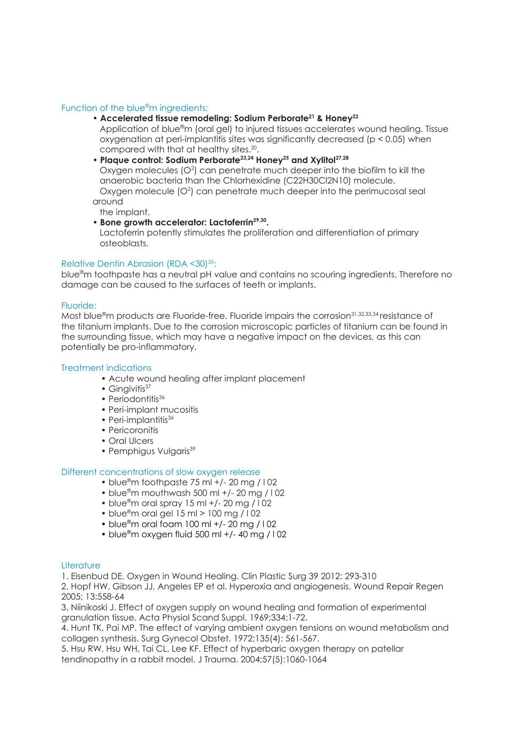#### Function of the blue<sup>®</sup>m ingredients:

## • **Accelerated tissue remodeling: Sodium Perborate <sup>21</sup> & Honey 22**

Application of blue ®m (oral gel) to injured tissues accelerates wound healing. Tissue oxygenation at peri-implantitis sites was significantly decreased (p < 0.05) when compared with that at healthy sites. 20 .

• **Plaque control: Sodium Perborate 23,24 Honey <sup>25</sup> and Xylitol 27,28**

Oxygen molecules  $(O<sup>2</sup>)$  can penetrate much deeper into the biofilm to kill the anaerobic bacteria than the Chlorhexidine (C22H30Cl2N10) molecule. Oxygen molecule  $(O<sup>2</sup>)$  can penetrate much deeper into the perimucosal seal around

the implant.

• **Bone growth accelerator: Lactoferrin 29,30 .**

Lactoferrin potently stimulates the proliferation and differentiation of primary osteoblasts.

## Relative Dentin Abrasion (RDA <30) 35:

blue ®m toothpaste has a neutral pH value and contains no scouring ingredients. Therefore no damage can be caused to the surfaces of teeth or implants.

#### Fluoride:

Most blue®m products are Fluoride-free. Fluoride impairs the corrosion<sup>31,32,33,34</sup>resistance of the titanium implants. Due to the corrosion microscopic particles of titanium can be found in the surrounding tissue, which may have a negative impact on the devices, as this can potentially be pro-inflammatory.

#### Treatment indications

- Acute wound healing after implant placement
- Gingivitis<sup>37</sup>
- Periodontitis<sup>36</sup>
- Peri-implant mucositis
- Peri-implantitis<sup>36</sup>
- Pericoronitis
- Oral Ulcers
- Pemphigus Vulgaris<sup>39</sup>

#### Different concentrations of slow oxygen release

- blue ®m toothpaste 75 ml +/- 20 mg / l 02
- blue ®m mouthwash 500 ml +/- 20 mg / l 02
- blue ®m oral spray 15 ml +/- 20 mg / l 02
- blue ®m oral gel 15 ml > 100 mg / l 02
- blue ®m oral foam 100 ml +/- 20 mg / l 02
- blue ®m oxygen fluid 500 ml +/- 40 mg / l 02

#### **Literature**

1. Eisenbud DE. Oxygen in Wound Healing. Clin Plastic Surg 39 2012: 293-310

2. Hopf HW, Gibson JJ, Angeles EP et al. Hyperoxia and angiogenesis. Wound Repair Regen 2005; 13:558-64

3. Niinikoski J. Effect of oxygen supply on wound healing and formation of experimental granulation tissue. Acta Physiol Scand Suppl. 1969;334:1-72.

4. Hunt TK, Pai MP. The effect of varying ambient oxygen tensions on wound metabolism and collagen synthesis. Surg Gynecol Obstet. 1972;135(4): 561-567.

5. Hsu RW, Hsu WH, Tai CL, Lee KF. Effect of hyperbaric oxygen therapy on patellar tendinopathy in a rabbit model. J Trauma. 2004;57(5):1060-1064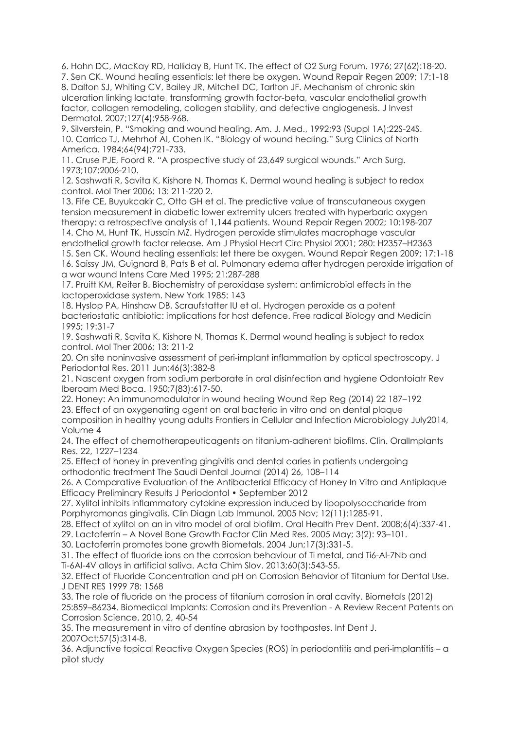6. Hohn DC, MacKay RD, Halliday B, Hunt TK. The effect of O2 Surg Forum. 1976; 27(62):18-20. 7. Sen CK. Wound healing essentials: let there be oxygen. Wound Repair Regen 2009; 17:1-18 8. Dalton SJ, Whiting CV, Bailey JR, Mitchell DC, Tarlton JF. Mechanism of chronic skin ulceration linking lactate, transforming growth factor-beta, vascular endothelial growth

factor, collagen remodeling, collagen stability, and defective angiogenesis. J Invest Dermatol. 2007;127(4):958-968.

9. Silverstein, P. "Smoking and wound healing. Am. J. Med., 1992;93 (Suppl 1A):22S-24S. 10. Carrico TJ, Mehrhof AI, Cohen IK. "Biology of wound healing." Surg Clinics of North America. 1984;64(94):721-733.

11. Cruse PJE, Foord R. "A prospective study of 23,649 surgical wounds." Arch Surg. 1973;107:2006-210.

12. Sashwati R, Savita K, Kishore N, Thomas K. Dermal wound healing is subject to redox control. Mol Ther 2006; 13: 211-220 2.

13. Fife CE, Buyukcakir C, Otto GH et al. The predictive value of transcutaneous oxygen tension measurement in diabetic lower extremity ulcers treated with hyperbaric oxygen therapy: a retrospective analysis of 1,144 patients. Wound Repair Regen 2002; 10:198-207

14. Cho M, Hunt TK, Hussain MZ. Hydrogen peroxide stimulates macrophage vascular endothelial growth factor release. Am J Physiol Heart Circ Physiol 2001; 280: H2357–H2363 15. Sen CK. Wound healing essentials: let there be oxygen. Wound Repair Regen 2009; 17:1-18 16. Saissy JM, Guignard B, Pats B et al. Pulmonary edema after hydrogen peroxide irrigation of a war wound Intens Care Med 1995; 21:287-288

17. Pruitt KM, Reiter B. Biochemistry of peroxidase system: antimicrobial effects in the lactoperoxidase system. New York 1985: 143

18. Hyslop PA, Hinshaw DB, Scraufstatter IU et al. Hydrogen peroxide as a potent bacteriostatic antibiotic: implications for host defence. Free radical Biology and Medicin 1995; 19:31-7

19. Sashwati R, Savita K, Kishore N, Thomas K. Dermal wound healing is subject to redox control. Mol Ther 2006; 13: 211-2

20. On site noninvasive assessment of peri-implant inflammation by optical spectroscopy. J Periodontal Res. 2011 Jun;46(3):382-8

21. Nascent oxygen from sodium perborate in oral disinfection and hygiene Odontoiatr Rev Iberoam Med Boca. 1950;7(83):617-50.

22. Honey: An immunomodulator in wound healing Wound Rep Reg (2014) 22 187–192 23. Effect of an oxygenating agent on oral bacteria in vitro and on dental plaque composition in healthy young adults Frontiers in Cellular and Infection Microbiology July2014, Volume 4

24. The effect of chemotherapeuticagents on titanium-adherent biofilms. Clin. OralImplants Res. 22, 1227–1234

25. Effect of honey in preventing gingivitis and dental caries in patients undergoing orthodontic treatment The Saudi Dental Journal (2014) 26, 108–114

26. A Comparative Evaluation of the Antibacterial Efficacy of Honey In Vitro and Antiplaque Efficacy Preliminary Results J Periodontol • September 2012

27. Xylitol inhibits inflammatory cytokine expression induced by lipopolysaccharide from Porphyromonas gingivalis. Clin Diagn Lab Immunol. 2005 Nov; 12(11):1285-91.

28. Effect of xylitol on an in vitro model of oral biofilm. Oral Health Prev Dent. 2008;6(4):337-41.

29. Lactoferrin – A Novel Bone Growth Factor Clin Med Res. 2005 May; 3(2): 93–101.

30. Lactoferrin promotes bone growth Biometals. 2004 Jun;17(3):331-5.

31. The effect of fluoride ions on the corrosion behaviour of Ti metal, and Ti6-Al-7Nb and Ti-6Al-4V alloys in artificial saliva. Acta Chim Slov. 2013;60(3):543-55.

32. Effect of Fluoride Concentration and pH on Corrosion Behavior of Titanium for Dental Use. J DENT RES 1999 78: 1568

33. The role of fluoride on the process of titanium corrosion in oral cavity. Biometals (2012) 25:859–86234. Biomedical Implants: Corrosion and its Prevention - A Review Recent Patents on Corrosion Science, 2010, 2, 40-54

35. The measurement in vitro of dentine abrasion by toothpastes. Int Dent J. 2007Oct;57(5):314-8.

36. Adjunctive topical Reactive Oxygen Species (ROS) in periodontitis and peri-implantitis – a pilot study